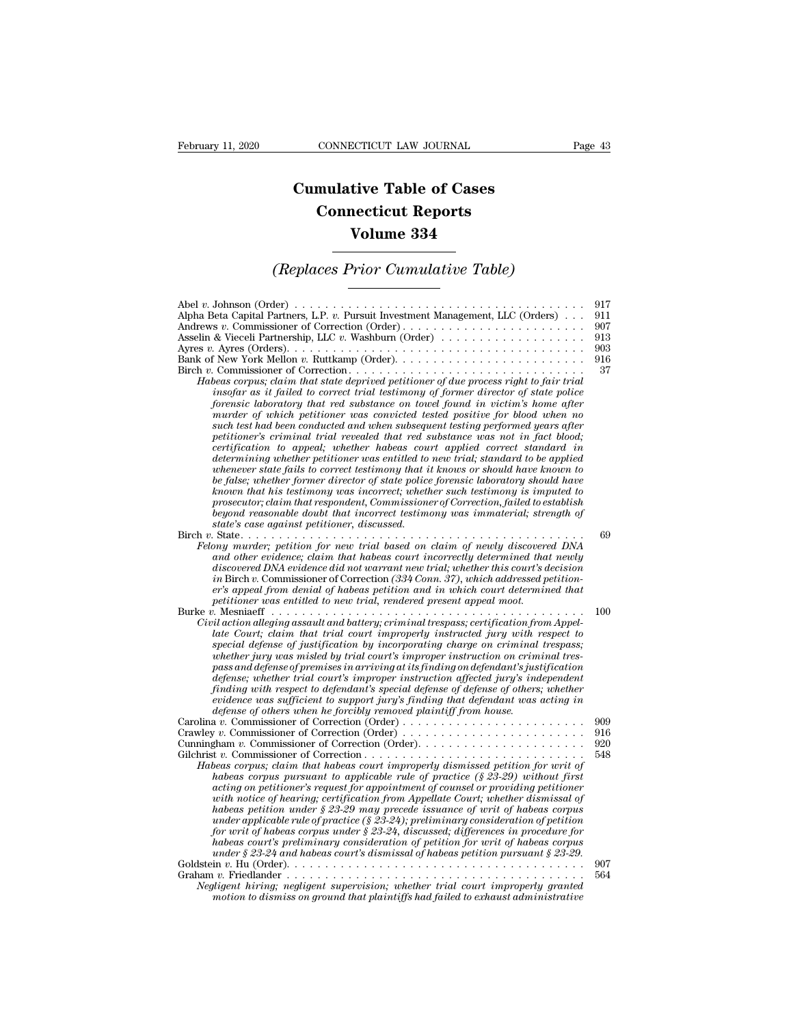## **CONNECTICUT LAW JOURNAL**<br> **Cumulative Table of Cases<br>
Connecticut Reports CONNECTICUT LAW JOURNAL**<br> **CONNECTICUT LAW JOURNAL**<br> **CONNECTICUT Reports**<br> **CONNECTICUT Reports**<br> **CONNECTIC REPORTS ECTICUT LAW JOURNAL**<br> **Volume 334**<br> **Volume 334**<br> **Volume 334** *Cumulative Table of Cases*<br> *Connecticut Reports*<br> *Volume 334*<br> *(Replaces Prior Cumulative Table)*<br> *Ler*)

| Volume 334                                                                                                                                                                                                                                                                                                                                                                                                                                                                                                                                                                                                                                                                                                                                                                                                                                                                                                                                                                                                                                                                                                                                                                                                                                                                                                                                                                       |                                              |
|----------------------------------------------------------------------------------------------------------------------------------------------------------------------------------------------------------------------------------------------------------------------------------------------------------------------------------------------------------------------------------------------------------------------------------------------------------------------------------------------------------------------------------------------------------------------------------------------------------------------------------------------------------------------------------------------------------------------------------------------------------------------------------------------------------------------------------------------------------------------------------------------------------------------------------------------------------------------------------------------------------------------------------------------------------------------------------------------------------------------------------------------------------------------------------------------------------------------------------------------------------------------------------------------------------------------------------------------------------------------------------|----------------------------------------------|
| (Replaces Prior Cumulative Table)                                                                                                                                                                                                                                                                                                                                                                                                                                                                                                                                                                                                                                                                                                                                                                                                                                                                                                                                                                                                                                                                                                                                                                                                                                                                                                                                                |                                              |
| Alpha Beta Capital Partners, L.P. v. Pursuit Investment Management, LLC (Orders)<br>Andrews v. Commissioner of Correction (Order)<br>Ayres v. Ayres (Orders). $\dots \dots \dots \dots \dots \dots \dots \dots \dots \dots \dots \dots \dots \dots \dots \dots$<br>Habeas corpus; claim that state deprived petitioner of due process right to fair trial<br>insofar as it failed to correct trial testimony of former director of state police<br>forensic laboratory that red substance on towel found in victim's home after<br>murder of which petitioner was convicted tested positive for blood when no<br>such test had been conducted and when subsequent testing performed years after<br>petitioner's criminal trial revealed that red substance was not in fact blood;<br>certification to appeal; whether habeas court applied correct standard in<br>determining whether petitioner was entitled to new trial; standard to be applied<br>whenever state fails to correct testimony that it knows or should have known to<br>be false; whether former director of state police forensic laboratory should have<br>known that his testimony was incorrect; whether such testimony is imputed to<br>prosecutor; claim that respondent, Commissioner of Correction, failed to establish<br>beyond reasonable doubt that incorrect testimony was immaterial; strength of | 917<br>911<br>907<br>913<br>903<br>916<br>37 |
| state's case against petitioner, discussed.<br>.<br>Felony murder; petition for new trial based on claim of newly discovered DNA<br>and other evidence; claim that habeas court incorrectly determined that newly<br>discovered DNA evidence did not warrant new trial: whether this court's decision<br>in Birch v. Commissioner of Correction (334 Conn. 37), which addressed petition-<br>er's appeal from denial of habeas petition and in which court determined that<br>petitioner was entitled to new trial, rendered present appeal moot.                                                                                                                                                                                                                                                                                                                                                                                                                                                                                                                                                                                                                                                                                                                                                                                                                                | 69                                           |
| Civil action alleging assault and battery; criminal trespass; certification from Appel-<br>late Court; claim that trial court improperly instructed jury with respect to<br>special defense of justification by incorporating charge on criminal trespass;<br>whether jury was misled by trial court's improper instruction on criminal tres-<br>pass and defense of premises in arriving at its finding on defendant's justification<br>defense; whether trial court's improper instruction affected jury's independent<br>finding with respect to defendant's special defense of defense of others; whether<br>evidence was sufficient to support jury's finding that defendant was acting in<br>defense of others when he forcibly removed plaintiff from house.                                                                                                                                                                                                                                                                                                                                                                                                                                                                                                                                                                                                              | 100                                          |
| Carolina v. Commissioner of Correction (Order)<br>Gilchrist v. Commissioner of Correction<br>Habeas corpus; claim that habeas court improperly dismissed petition for writ of<br>habeas corpus pursuant to applicable rule of practice $(\text{\$}\,23\text{-}29)$ without first<br>acting on petitioner's request for appointment of counsel or providing petitioner<br>with notice of hearing; certification from Appellate Court; whether dismissal of<br>habeas petition under § 23-29 may precede issuance of writ of habeas corpus<br>under applicable rule of practice (§ 23-24); preliminary consideration of petition<br>for writ of habeas corpus under $\S 23-24$ , discussed; differences in procedure for<br>habeas court's preliminary consideration of petition for writ of habeas corpus<br>under § 23-24 and habeas court's dismissal of habeas petition pursuant § 23-29.                                                                                                                                                                                                                                                                                                                                                                                                                                                                                      | 909<br>916<br>920<br>548                     |
| Negligent hiring; negligent supervision; whether trial court improperly granted<br>motion to dismiss on ground that plaintiffs had failed to exhaust administrative                                                                                                                                                                                                                                                                                                                                                                                                                                                                                                                                                                                                                                                                                                                                                                                                                                                                                                                                                                                                                                                                                                                                                                                                              | 907<br>564                                   |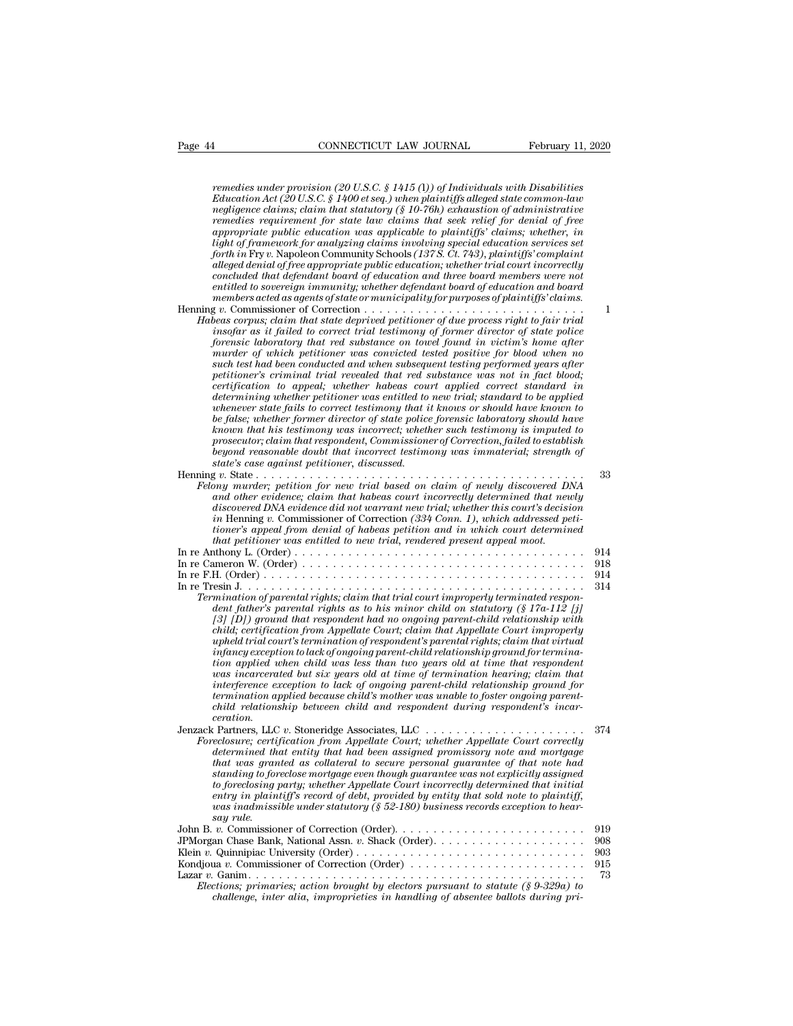| CONNECTICUT LAW JOURNAL<br>Page 44<br>February 11, 2020                                                                                                                                                                                                                                                                                                                                                                                                                                                                                                                                                                                                                                                                                                                                                                                                                                                                                                                                                                                                                                                                                                      |                                |
|--------------------------------------------------------------------------------------------------------------------------------------------------------------------------------------------------------------------------------------------------------------------------------------------------------------------------------------------------------------------------------------------------------------------------------------------------------------------------------------------------------------------------------------------------------------------------------------------------------------------------------------------------------------------------------------------------------------------------------------------------------------------------------------------------------------------------------------------------------------------------------------------------------------------------------------------------------------------------------------------------------------------------------------------------------------------------------------------------------------------------------------------------------------|--------------------------------|
| remedies under provision (20 U.S.C. § 1415 (1)) of Individuals with Disabilities<br>Education Act (20 U.S.C. § 1400 et seq.) when plaintiffs alleged state common-law<br>negligence claims; claim that statutory $(\S 10{\text -}76h)$ exhaustion of administrative<br>remedies requirement for state law claims that seek relief for denial of free<br>appropriate public education was applicable to plaintiffs' claims; whether, in<br>light of framework for analyzing claims involving special education services set<br>forth in Fry v. Napoleon Community Schools (137S. Ct. 743), plaintiffs' complaint<br>alleged denial of free appropriate public education; whether trial court incorrectly<br>concluded that defendant board of education and three board members were not<br>entitled to sovereign immunity; whether defendant board of education and board<br>members acted as agents of state or municipality for purposes of plaintiffs' claims.                                                                                                                                                                                            |                                |
| Habeas corpus; claim that state deprived petitioner of due process right to fair trial<br>insofar as it failed to correct trial testimony of former director of state police<br>forensic laboratory that red substance on towel found in victim's home after<br>murder of which petitioner was convicted tested positive for blood when no<br>such test had been conducted and when subsequent testing performed years after<br>petitioner's criminal trial revealed that red substance was not in fact blood;<br>certification to appeal; whether habeas court applied correct standard in<br>determining whether petitioner was entitled to new trial; standard to be applied<br>whenever state fails to correct testimony that it knows or should have known to<br>be false; whether former director of state police forensic laboratory should have<br>known that his testimony was incorrect; whether such testimony is imputed to<br>prosecutor; claim that respondent, Commissioner of Correction, failed to establish<br>beyond reasonable doubt that incorrect testimony was immaterial; strength of<br>state's case against petitioner, discussed. | 1                              |
| $\begin{array}{cccccccccccccc} \bullet & \bullet & \bullet & \bullet & \bullet & \bullet & \bullet & \bullet & \bullet & \bullet & \bullet & \bullet & \bullet \end{array}$<br>Felony murder; petition for new trial based on claim of newly discovered DNA<br>and other evidence; claim that habeas court incorrectly determined that newly<br>discovered DNA evidence did not warrant new trial; whether this court's decision<br>in Henning v. Commissioner of Correction (334 Conn. 1), which addressed peti-<br>tioner's appeal from denial of habeas petition and in which court determined<br>that petitioner was entitled to new trial, rendered present appeal moot.                                                                                                                                                                                                                                                                                                                                                                                                                                                                                | 33                             |
| Termination of parental rights; claim that trial court improperly terminated respon-<br>dent father's parental rights as to his minor child on statutory $(\S 17a-112)$ [j]<br>$\left(3\right)$ $\left(1\right)$ ground that respondent had no ongoing parent-child relationship with<br>child; certification from Appellate Court; claim that Appellate Court improperly<br>upheld trial court's termination of respondent's parental rights; claim that virtual<br>infancy exception to lack of ongoing parent-child relationship ground for termina-<br>tion applied when child was less than two years old at time that respondent<br>was incarcerated but six years old at time of termination hearing; claim that<br>interference exception to lack of ongoing parent-child relationship ground for<br>termination applied because child's mother was unable to foster ongoing parent-<br>child relationship between child and respondent during respondent's incar-<br>ceration.                                                                                                                                                                      | 914<br>918<br>914<br>314       |
| Foreclosure; certification from Appellate Court; whether Appellate Court correctly<br>determined that entity that had been assigned promissory note and mortgage<br>that was granted as collateral to secure personal guarantee of that note had<br>standing to foreclose mortgage even though guarantee was not explicitly assigned<br>to foreclosing party; whether Appellate Court incorrectly determined that initial<br>entry in plaintiff's record of debt, provided by entity that sold note to plaintiff,<br>was inadmissible under statutory (§ 52-180) business records exception to hear-<br>say rule.                                                                                                                                                                                                                                                                                                                                                                                                                                                                                                                                            | 374                            |
| Kondjoua v. Commissioner of Correction (Order) $\dots \dots \dots \dots \dots \dots \dots \dots$<br>Elections; primaries; action brought by electors pursuant to statute $(\S 9-329a)$ to<br>challenge, inter alia, improprieties in handling of absentee ballots during pri-                                                                                                                                                                                                                                                                                                                                                                                                                                                                                                                                                                                                                                                                                                                                                                                                                                                                                | 919<br>908<br>903<br>915<br>73 |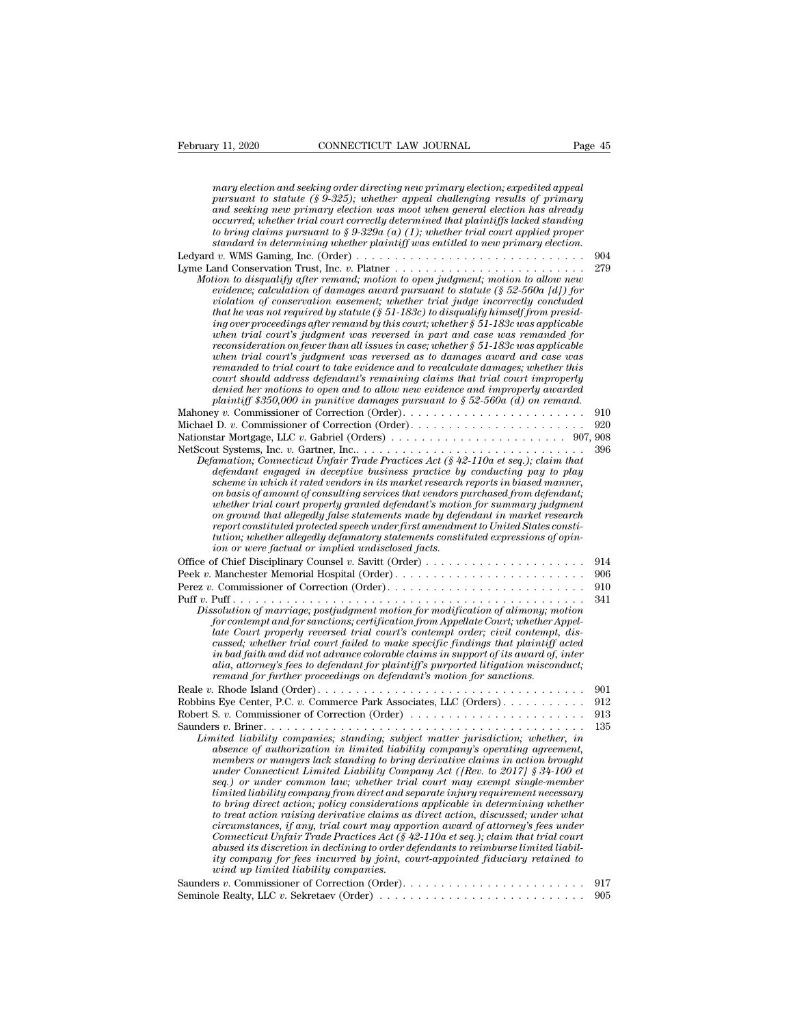| February 11, 2020<br>CONNECTICUT LAW JOURNAL                                                                                                                                                                                                                                                                                                                                                                                                                                                                                                                                                                                                                                                                                                                                                                                                                                                                                                                                                                                                                                                                                                                                                                                                                                                                                                                                                                                                                                                                                                                                                                                                                                                                     | Page 45                  |
|------------------------------------------------------------------------------------------------------------------------------------------------------------------------------------------------------------------------------------------------------------------------------------------------------------------------------------------------------------------------------------------------------------------------------------------------------------------------------------------------------------------------------------------------------------------------------------------------------------------------------------------------------------------------------------------------------------------------------------------------------------------------------------------------------------------------------------------------------------------------------------------------------------------------------------------------------------------------------------------------------------------------------------------------------------------------------------------------------------------------------------------------------------------------------------------------------------------------------------------------------------------------------------------------------------------------------------------------------------------------------------------------------------------------------------------------------------------------------------------------------------------------------------------------------------------------------------------------------------------------------------------------------------------------------------------------------------------|--------------------------|
| mary election and seeking order directing new primary election; expedited appeal<br>pursuant to statute (§ 9-325); whether appeal challenging results of primary<br>and seeking new primary election was moot when general election has already<br>$occurred; whether\ trial\ court\ correctly\ determined\ that\ plaintiff\s\ lacked\ standing$<br>to bring claims pursuant to § 9-329 $\alpha$ (a) (1); whether trial court applied proper<br>standard in determining whether plaintiff was entitled to new primary election.<br>Ledyard v. WMS Gaming, Inc. (Order) $\dots \dots \dots \dots \dots \dots \dots \dots \dots \dots \dots \dots \dots \dots$<br>Motion to disqualify after remand; motion to open judgment; motion to allow new<br>evidence; calculation of damages award pursuant to statute $(\S 52-560a \;  d )$ for<br>violation of conservation easement; whether trial judge incorrectly concluded<br>that he was not required by statute ( $\S 51$ -183c) to disqualify himself from presid-<br>ing over proceedings after remand by this court; whether $\S 51$ -183c was applicable<br>when trial court's judgment was reversed in part and case was remanded for<br>reconsideration on fewer than all issues in case; whether $\S 51-183c$ was applicable<br>when trial court's judgment was reversed as to damages award and case was<br>remanded to trial court to take evidence and to recalculate damages; whether this<br>court should address defendant's remaining claims that trial court improperly<br>denied her motions to open and to allow new evidence and improperly awarded<br>plaintiff \$350,000 in punitive damages pursuant to $\S 52{\text -}560a$ (d) on remand. | 904<br>279               |
| Defamation; Connecticut Unfair Trade Practices Act (§ 42-110a et seq.); claim that<br>defendant engaged in deceptive business practice by conducting pay to play<br>scheme in which it rated vendors in its market research reports in biased manner,<br>on basis of amount of consulting services that vendors purchased from defendant;<br>whether trial court properly granted defendant's motion for summary judgment<br>on ground that allegedly false statements made by defendant in market research<br>report constituted protected speech under first amendment to United States consti-<br>tution; whether allegedly defamatory statements constituted expressions of opin-                                                                                                                                                                                                                                                                                                                                                                                                                                                                                                                                                                                                                                                                                                                                                                                                                                                                                                                                                                                                                            | 910<br>920<br>396        |
| ion or were factual or implied undisclosed facts.<br>Dissolution of marriage; postjudgment motion for modification of alimony; motion<br>for contempt and for sanctions; certification from Appellate Court; whether Appel-<br>late Court properly reversed trial court's contempt order; civil contempt, dis-<br>cussed; whether trial court failed to make specific findings that plaintiff acted<br>in bad faith and did not advance colorable claims in support of its award of, inter<br>alia, attorney's fees to defendant for plaintiff's purported litigation misconduct;<br>remand for further proceedings on defendant's motion for sanctions.                                                                                                                                                                                                                                                                                                                                                                                                                                                                                                                                                                                                                                                                                                                                                                                                                                                                                                                                                                                                                                                         | 914<br>906<br>910<br>341 |
| Robbins Eye Center, P.C. v. Commerce Park Associates, LLC (Orders).<br>Robert S. v. Commissioner of Correction (Order) $\dots \dots \dots \dots \dots \dots \dots \dots$<br>Limited liability companies; standing; subject matter jurisdiction; whether, in<br>absence of authorization in limited liability company's operating agreement,<br>members or mangers lack standing to bring derivative claims in action brought                                                                                                                                                                                                                                                                                                                                                                                                                                                                                                                                                                                                                                                                                                                                                                                                                                                                                                                                                                                                                                                                                                                                                                                                                                                                                     | 901<br>912<br>913<br>135 |

*absonce of authorization in limited liability company's operations.*<br> **absonce of authorization in limited liability companism in limited liability companism in limited liability companism in limited liability companism a** *members or mangers lack standing to bring derivative claims in the set of to bring the commissioner of Correction (Order)*<br> *members v. Briner.*<br> *members or mangers is tanding; subject matter jurisdiction; whether, in a under Sammere Park Associates, LLC (Orders)*<br> *under Connection (Order)*<br> *under Connecticut Limited Liability Company's operating agreement,*<br> *under Connecticut Limited Liability Company's operating agreement,*<br> *member sextionary* or under common law; where the may exempt single.<br> *set u. Commissioner of Correction (Order)*<br> *set u. Briner*<br> *set u. Briner in absence of authorization in limited liability company's operating agreement,<br> limited liability companies; standing; subject matter jurisdiction; whether, in absence of authorization in limited liability company's operating agreement, members or mangers lack standing to bring derivative claims in a to be actions and in the minimal simulation;* whether, in the size of direct and discrete of authorization in limited liability company's operating agreement, amembers or mangers lack standing to bring derivative claims *to treat active treat action in limited liability company's operating agreement, mabsence of authorization in limited liability company's operating agreement, members or mangers lack standing to bring derivative claims in* absence of authorization in limited liability company's operating agreement,<br>members or mangers lack standing to bring derivative claims in action brought<br>under Connecticut Limited Liability Company Act ([Rev. to 2017] § 3 members or mangers lack standing to bring derivative claims in action brought<br>under Connecticut Limited Liability Company Act ([Rev. to 2017] § 34-100 et<br>seq.) or under common law; whether trial court may exempt single-mem *abused in under Connecticut Lamited Ladvitity Company Act ([Rev. to 2017]* § 34-100 *et* seq.) or under common law; whether trial court may exempt single-member<br>limited idability company from direct and separate injery re *istage of the common law; whether trual court may exempt single-member* limited liability company from direct and separate injury requirement necessary to bring direct action, rolvicy considerations applicable in determin *wind uteral tability company from direct and so*<br>to bring direct action; policy consideration<br>to treat action raising derivative claims as<br>circumstances, if any, trial court may app<br>Connecticut Unfair Trade Practices Act

Saunders *<sup>v</sup>*. Commissioner of Correction (Order). . . . . . . . . . . . . . . . . . . . . . . . <sup>917</sup> circumstances, if any, trial court may apportion award of attorney's fees under<br>Connecticut Unfair Trade Practices Act (§ 42-110a et seq.); claim that trial court<br>abused its discretion in declining to order defendants to r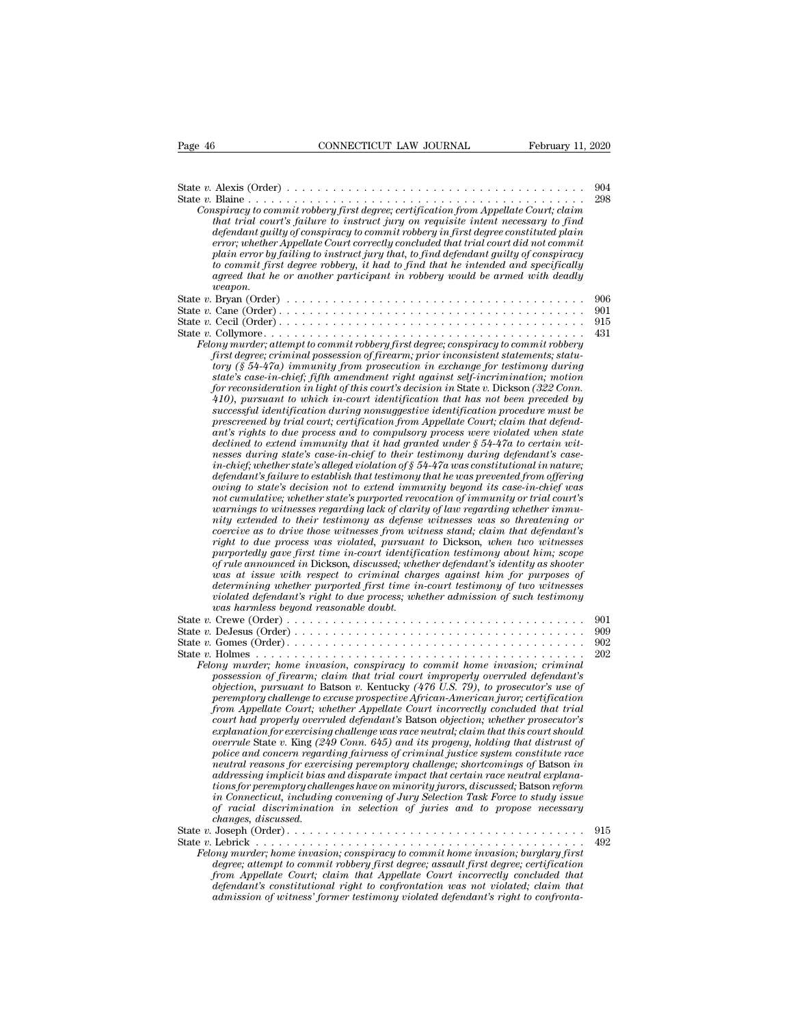| Page 46 | CONNECTICUT LAW JOURNAL<br>February 11, 2020                                                                                                                                                                                                                                                                                                                                                                                                                                                                                                                                                                                                                                                                                                                                                                                                                                                                                                                                                                                                                                                                                                                                                                                                                                                                                                                                                                                                                                                                                                                                                                                                                                                                                                                                                                                                                                                                                                                                                                                                                                                                       |            |
|---------|--------------------------------------------------------------------------------------------------------------------------------------------------------------------------------------------------------------------------------------------------------------------------------------------------------------------------------------------------------------------------------------------------------------------------------------------------------------------------------------------------------------------------------------------------------------------------------------------------------------------------------------------------------------------------------------------------------------------------------------------------------------------------------------------------------------------------------------------------------------------------------------------------------------------------------------------------------------------------------------------------------------------------------------------------------------------------------------------------------------------------------------------------------------------------------------------------------------------------------------------------------------------------------------------------------------------------------------------------------------------------------------------------------------------------------------------------------------------------------------------------------------------------------------------------------------------------------------------------------------------------------------------------------------------------------------------------------------------------------------------------------------------------------------------------------------------------------------------------------------------------------------------------------------------------------------------------------------------------------------------------------------------------------------------------------------------------------------------------------------------|------------|
|         |                                                                                                                                                                                                                                                                                                                                                                                                                                                                                                                                                                                                                                                                                                                                                                                                                                                                                                                                                                                                                                                                                                                                                                                                                                                                                                                                                                                                                                                                                                                                                                                                                                                                                                                                                                                                                                                                                                                                                                                                                                                                                                                    |            |
|         | Conspiracy to commit robbery first degree; certification from Appellate Court; claim<br>that trial court's failure to instruct jury on requisite intent necessary to find<br>defendant guilty of conspiracy to commit robbery in first degree constituted plain<br>error; whether Appellate Court correctly concluded that trial court did not commit                                                                                                                                                                                                                                                                                                                                                                                                                                                                                                                                                                                                                                                                                                                                                                                                                                                                                                                                                                                                                                                                                                                                                                                                                                                                                                                                                                                                                                                                                                                                                                                                                                                                                                                                                              | 904<br>298 |
|         | plain error by failing to instruct jury that, to find defendant guilty of conspiracy<br>to commit first degree robbery, it had to find that he intended and specifically<br>agreed that he or another participant in robbery would be armed with deadly<br>we a pon.                                                                                                                                                                                                                                                                                                                                                                                                                                                                                                                                                                                                                                                                                                                                                                                                                                                                                                                                                                                                                                                                                                                                                                                                                                                                                                                                                                                                                                                                                                                                                                                                                                                                                                                                                                                                                                               |            |
|         |                                                                                                                                                                                                                                                                                                                                                                                                                                                                                                                                                                                                                                                                                                                                                                                                                                                                                                                                                                                                                                                                                                                                                                                                                                                                                                                                                                                                                                                                                                                                                                                                                                                                                                                                                                                                                                                                                                                                                                                                                                                                                                                    | 906<br>901 |
|         |                                                                                                                                                                                                                                                                                                                                                                                                                                                                                                                                                                                                                                                                                                                                                                                                                                                                                                                                                                                                                                                                                                                                                                                                                                                                                                                                                                                                                                                                                                                                                                                                                                                                                                                                                                                                                                                                                                                                                                                                                                                                                                                    | 915        |
|         | Felony murder; attempt to commit robbery first degree; conspiracy to commit robbery<br>first degree; criminal possession of firearm; prior inconsistent statements; statu-<br>tory (§ 54-47a) immunity from prosecution in exchange for testimony during<br>state's case-in-chief; fifth amendment right against self-incrimination; motion<br>for reconsideration in light of this court's decision in State v. Dickson (322 Conn.<br>$410$ , pursuant to which in-court identification that has not been preceded by<br>successful identification during nonsuggestive identification procedure must be<br>prescreened by trial court; certification from Appellate Court; claim that defend-<br>ant's rights to due process and to compulsory process were violated when state<br>declined to extend immunity that it had granted under $\S$ 54-47a to certain wit-<br>nesses during state's case-in-chief to their testimony during defendant's case-<br>in-chief, whether state's alleged violation of $\S 54-47a$ was constitutional in nature;<br>defendant's failure to establish that testimony that he was prevented from offering<br>owing to state's decision not to extend immunity beyond its case-in-chief was<br>not cumulative; whether state's purported revocation of immunity or trial court's<br>warnings to witnesses regarding lack of clarity of law regarding whether immu-<br>nity extended to their testimony as defense witnesses was so threatening or<br>coercive as to drive those witnesses from witness stand; claim that defendant's<br>right to due process was violated, pursuant to Dickson, when two witnesses<br>purportedly gave first time in-court identification testimony about him; scope<br>of rule announced in Dickson, discussed; whether defendant's identity as shooter<br>was at issue with respect to criminal charges against him for purposes of<br>determining whether purported first time in-court testimony of two witnesses<br>violated defendant's right to due process; whether admission of such testimony<br>was harmless beyond reasonable doubt. | 431        |
|         |                                                                                                                                                                                                                                                                                                                                                                                                                                                                                                                                                                                                                                                                                                                                                                                                                                                                                                                                                                                                                                                                                                                                                                                                                                                                                                                                                                                                                                                                                                                                                                                                                                                                                                                                                                                                                                                                                                                                                                                                                                                                                                                    | 901        |
|         |                                                                                                                                                                                                                                                                                                                                                                                                                                                                                                                                                                                                                                                                                                                                                                                                                                                                                                                                                                                                                                                                                                                                                                                                                                                                                                                                                                                                                                                                                                                                                                                                                                                                                                                                                                                                                                                                                                                                                                                                                                                                                                                    | 909<br>902 |
|         | Felony murder; home invasion, conspiracy to commit home invasion; criminal<br>possession of firearm; claim that trial court improperly overruled defendant's<br>objection, pursuant to Batson v. Kentucky (476 U.S. 79), to prosecutor's use of<br>peremptory challenge to excuse prospective African-American juror; certification<br>from Appellate Court; whether Appellate Court incorrectly concluded that trial<br>court had properly overruled defendant's Batson objection; whether prosecutor's<br>explanation for exercising challenge was race neutral; claim that this court should<br>overrule State v. King $(249 \text{ Conn. } 645)$ and its progeny, holding that distrust of<br>police and concern regarding fairness of criminal justice system constitute race<br>neutral reasons for exercising peremptory challenge; shortcomings of Batson in<br>addressing implicit bias and disparate impact that certain race neutral explana-<br>tions for peremptory challenges have on minority jurors, discussed; Batson reform<br>in Connecticut, including convening of Jury Selection Task Force to study issue<br>of racial discrimination in selection of juries and to propose necessary<br>changes, discussed.                                                                                                                                                                                                                                                                                                                                                                                                                                                                                                                                                                                                                                                                                                                                                                                                                                                                                | 202<br>915 |
|         | Felony murder; home invasion; conspiracy to commit home invasion; burglary first<br>degree; attempt to commit robbery first degree; assault first degree; certification<br>from Appellate Court; claim that Appellate Court incorrectly concluded that<br>defendant's constitutional right to confrontation was not violated; claim that<br>admission of witness' former testimony violated defendant's right to confronta-                                                                                                                                                                                                                                                                                                                                                                                                                                                                                                                                                                                                                                                                                                                                                                                                                                                                                                                                                                                                                                                                                                                                                                                                                                                                                                                                                                                                                                                                                                                                                                                                                                                                                        | 492        |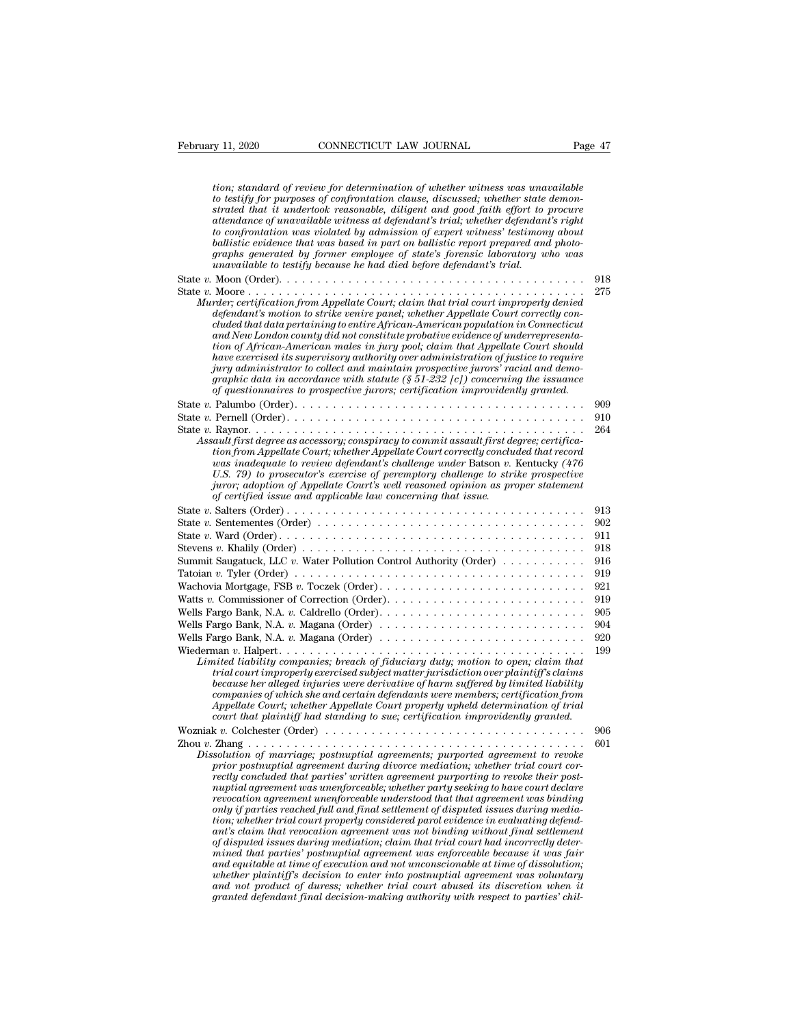| February 11, 2020<br>CONNECTICUT LAW JOURNAL                                                                                                                                                                                                                                                                                                                                                                                                                                                                                                                                                                                                                                                                                                                                   | Page 47    |
|--------------------------------------------------------------------------------------------------------------------------------------------------------------------------------------------------------------------------------------------------------------------------------------------------------------------------------------------------------------------------------------------------------------------------------------------------------------------------------------------------------------------------------------------------------------------------------------------------------------------------------------------------------------------------------------------------------------------------------------------------------------------------------|------------|
|                                                                                                                                                                                                                                                                                                                                                                                                                                                                                                                                                                                                                                                                                                                                                                                |            |
| tion; standard of review for determination of whether witness was unavailable<br>to testify for purposes of confrontation clause, discussed; whether state demon-<br>strated that it undertook reasonable, diligent and good faith effort to procure<br>attendance of unavailable witness at defendant's trial; whether defendant's right<br>to confrontation was violated by admission of expert witness' testimony about<br>ballistic evidence that was based in part on ballistic report prepared and photo-<br>graphs generated by former employee of state's forensic laboratory who was<br>unavailable to testify because he had died before defendant's trial.                                                                                                          |            |
|                                                                                                                                                                                                                                                                                                                                                                                                                                                                                                                                                                                                                                                                                                                                                                                | 918        |
| Murder; certification from Appellate Court; claim that trial court improperly denied<br>defendant's motion to strike venire panel; whether Appellate Court correctly con-<br>cluded that data pertaining to entire African-American population in Connecticut<br>and New London county did not constitute probative evidence of underrepresenta-<br>tion of African-American males in jury pool; claim that Appellate Court should<br>have exercised its supervisory authority over administration of justice to require<br>jury administrator to collect and maintain prospective jurors' racial and demo-<br>graphic data in accordance with statute (§ 51-232 [c]) concerning the issuance<br>of questionnaires to prospective jurors; certification improvidently granted. | 275        |
|                                                                                                                                                                                                                                                                                                                                                                                                                                                                                                                                                                                                                                                                                                                                                                                | 909        |
|                                                                                                                                                                                                                                                                                                                                                                                                                                                                                                                                                                                                                                                                                                                                                                                | 910        |
| Assault first degree as accessory; conspiracy to commit assault first degree; certifica-<br>tion from Appellate Court; whether Appellate Court correctly concluded that record<br>was inadequate to review defendant's challenge under Batson v. Kentucky (476<br>U.S. 79) to prosecutor's exercise of peremptory challenge to strike prospective<br>juror; adoption of Appellate Court's well reasoned opinion as proper statement<br>of certified issue and applicable law concerning that issue.                                                                                                                                                                                                                                                                            | 264        |
|                                                                                                                                                                                                                                                                                                                                                                                                                                                                                                                                                                                                                                                                                                                                                                                | 913        |
| State v. Sentementes (Order) $\dots \dots \dots \dots \dots \dots \dots \dots \dots \dots \dots \dots \dots \dots$                                                                                                                                                                                                                                                                                                                                                                                                                                                                                                                                                                                                                                                             | 902        |
|                                                                                                                                                                                                                                                                                                                                                                                                                                                                                                                                                                                                                                                                                                                                                                                | 911        |
|                                                                                                                                                                                                                                                                                                                                                                                                                                                                                                                                                                                                                                                                                                                                                                                | 918        |
| Summit Saugatuck, LLC v. Water Pollution Control Authority (Order) $\dots \dots \dots$                                                                                                                                                                                                                                                                                                                                                                                                                                                                                                                                                                                                                                                                                         | 916        |
|                                                                                                                                                                                                                                                                                                                                                                                                                                                                                                                                                                                                                                                                                                                                                                                | 919        |
| Wachovia Mortgage, FSB $v$ . Toczek (Order)                                                                                                                                                                                                                                                                                                                                                                                                                                                                                                                                                                                                                                                                                                                                    | 921<br>919 |
|                                                                                                                                                                                                                                                                                                                                                                                                                                                                                                                                                                                                                                                                                                                                                                                | 905        |
| Wells Fargo Bank, N.A. v. Magana (Order) $\ldots \ldots \ldots \ldots \ldots \ldots \ldots \ldots \ldots \ldots$                                                                                                                                                                                                                                                                                                                                                                                                                                                                                                                                                                                                                                                               | 904        |
|                                                                                                                                                                                                                                                                                                                                                                                                                                                                                                                                                                                                                                                                                                                                                                                | 920        |
| Wiederman v. Halpert<br>.<br>Limited liability companies; breach of fiduciary duty; motion to open; claim that<br>trial court improperly exercised subject matter jurisdiction over plaintiff's claims<br>because her alleged injuries were derivative of harm suffered by limited liability<br>companies of which she and certain defendants were members; certification from<br>Appellate Court; whether Appellate Court properly upheld determination of trial<br>court that plaintiff had standing to sue; certification improvidently granted.                                                                                                                                                                                                                            | 199        |
| Wozniak v. Colchester (Order) $\dots \dots \dots \dots \dots \dots \dots \dots \dots \dots \dots \dots \dots$                                                                                                                                                                                                                                                                                                                                                                                                                                                                                                                                                                                                                                                                  | 906        |
|                                                                                                                                                                                                                                                                                                                                                                                                                                                                                                                                                                                                                                                                                                                                                                                | 601        |
| Dissolution of marriage; postnuptial agreements; purported agreement to revoke<br>prior postnuptial agreement during divorce mediation; whether trial court cor-<br>rectly concluded that parties' written agreement purporting to revoke their post-<br>nuptial agreement was unenforceable; whether party seeking to have court declare<br>revocation agreement unenforceable understood that that agreement was binding<br>only if parties reached full and final settlement of disputed issues during media-<br>tion; whether trial court properly considered parol evidence in evaluating defend-<br>ant's claim that revocation agreement was not binding without final settlement<br>of disputed issues during mediation; claim that trial court had incorrectly deter- |            |

*anythal agreement was unenforceable; whether party seeking to have court declare* revocation agreement unenforceable understood that that agreement was binding only if parties reached full and final settlement of disputed *revocation agreement unenforceable understood that that agreement was binding*<br>only if parties reached full and final settlement of disputed issues during media-<br>tion; whether trial court properly considered parel enter i *and in the mether trial court properly considered parol evidence in evaluating defendary, whether trial court properly considered parol evidence in evaluating defendant's claim that revocation agreement was not binding wi tion; whether trial court property considered parol evidence in evaluating defendant's claim that revocation agreement was not binding without final settlement mined that parties' postnuptial agreement was enforceable bec*